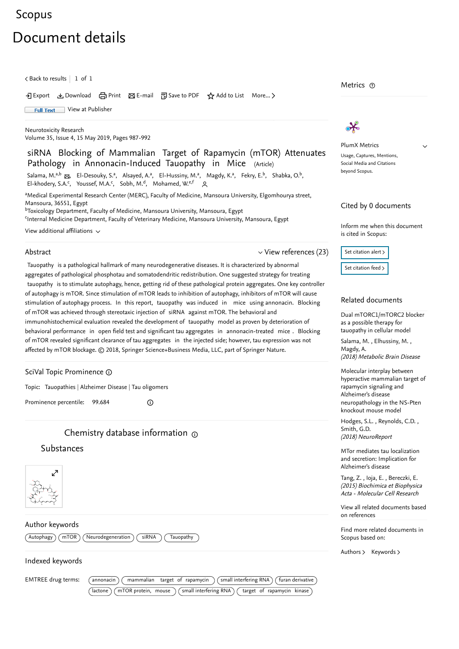# <span id="page-0-1"></span>[Scopus](https://www.scopus.com/home.uri?zone=header&origin=searchbasic)

# Document details

 $\zeta$  [Back to results](https://www.scopus.com/results/results.uri?sort=plf-f&src=s&st1=siRNA+Blocking+of+Mammalian+Target+of+Rapamycin+Attenuates+Pathology+in+Annonacin-Induced+Tauopathy+in+Mice&st2=&sid=57f36afa246202f9e03aa07be53cffcd&sot=b&sdt=b&sl=122&s=TITLE-ABS-KEY%28siRNA+Blocking+of+Mammalian+Target+of+Rapamycin+Attenuates+Pathology+in+Annonacin-Induced+Tauopathy+in+Mice%29&offset=1&origin=recordpage)  $\vert$  1 of 1

Export Download Print E-mail Save to PDF ⋆ Add to List More... ▻

Full Text [View at Publisher](https://www.scopus.com/redirect/linking.uri?targetURL=https%3a%2f%2fdoi.org%2f10.1007%2fs12640-018-9974-3&locationID=1&categoryID=4&eid=2-s2.0-85055723662&issn=10298428&linkType=ViewAtPublisher&year=2019&origin=recordpage&dig=50bf00277690adc2c500cd14d0a8136a&recordRank=)

[Neurotoxicity Research](https://www.scopus.com/sourceid/18071?origin=recordpage) Volume 35, Issue 4, 15 May 2019, Pages 987-992

siRNA Blocking of Mammalian Target of Rapamycin (mTOR) Attenuates Pathology in Annonacin-Induced Tauopathy in Mice (Article)

[Salama, M.](https://www.scopus.com/authid/detail.uri?authorId=7202654469&eid=2-s2.0-85055723662)<sup>a,b</sup> &, [El-Desouky, S.](https://www.scopus.com/authid/detail.uri?authorId=55036448600&eid=2-s2.0-85055723662)<sup>a</sup>, [Alsayed, A.](https://www.scopus.com/authid/detail.uri?authorId=57188585788&eid=2-s2.0-85055723662)<sup>a</sup>, [El-Hussiny, M.](https://www.scopus.com/authid/detail.uri?authorId=57204471350&eid=2-s2.0-85055723662)<sup>a</sup>, [Magdy, K.](https://www.scopus.com/authid/detail.uri?authorId=57194436024&eid=2-s2.0-85055723662)<sup>a</sup>, [Fekry, E.](https://www.scopus.com/authid/detail.uri?authorId=56652304800&eid=2-s2.0-85055723662)<sup>b</sup>, [Shabka, O.](https://www.scopus.com/authid/detail.uri?authorId=56367060600&eid=2-s2.0-85055723662)<sup>b</sup>, [El-khodery, S.A.](https://www.scopus.com/authid/detail.uri?authorId=23018413500&eid=2-s2.0-85055723662)<sup>c</sup>, [Youssef, M.A.](https://www.scopus.com/authid/detail.uri?authorId=35576134300&eid=2-s2.0-85055723662)<sup>c</sup>, [Sobh, M.](https://www.scopus.com/authid/detail.uri?authorId=16837204300&eid=2-s2.0-85055723662)<sup>d</sup>, [Mohamed, W.](https://www.scopus.com/authid/detail.uri?authorId=57194377779&eid=2-s2.0-85055723662)<sup>e,f</sup> 2

aMedical Experimental Research Center (MERC), Faculty of Medicine, Mansoura University, Elgomhourya street, Mansoura, 36551, Egypt <sup>b</sup>Toxicology Department, Faculty of Medicine, Mansoura University, Mansoura, Egypt

<sup>c</sup>Internal Medicine Department, Faculty of Veterinary Medicine, Mansoura University, Mansoura, Egypt

View additional affiliations  $\sim$ 

#### Abstract

<span id="page-0-0"></span> $\vee$  [View references \(23\)](#page-1-0)

Tauopathy is a pathological hallmark of many neurodegenerative diseases. It is characterized by abnormal aggregates of pathological phosphotau and somatodendritic redistribution. One suggested strategy for treating tauopathy is to stimulate autophagy, hence, getting rid of these pathological protein aggregates. One key controller of autophagy is mTOR. Since stimulation of mTOR leads to inhibition of autophagy, inhibitors of mTOR will cause stimulation of autophagy process. In this report, tauopathy was induced in mice using annonacin. Blocking of mTOR was achieved through stereotaxic injection of siRNA against mTOR. The behavioral and immunohistochemical evaluation revealed the development of tauopathy model as proven by deterioration of behavioral performance in open field test and significant tau aggregates in annonacin-treated mice . Blocking of mTOR revealed significant clearance of tau aggregates in the injected side; however, tau expression was not affected by mTOR blockage. © 2018, Springer Science+Business Media, LLC, part of Springer Nature.

SciVal Topic Prominence

Topic: Tauopathies | Alzheimer Disease | Tau oligomers

Prominence percentile: 99.684

# Chemistry database information

 $\odot$ 

# Substances



Author keywords

 $\left(\begin{array}{c}\text{Autophagy} \end{array}\right)\left(\begin{array}{c}\text{mTOR} \end{array}\right)\left(\begin{array}{c}\text{Neurodegeneration} \end{array}\right)\left(\begin{array}{c}\text{siRNA} \end{array}\right)\left(\begin{array}{c}\text{Tauopathy} \end{array}\right)$ 

### Indexed keywords

EMTREE drug terms: (annonacin) mammalian target of rapamycin (small interfering RNA) (furan derivative  $\sqrt{(a)^2 + (b)^2}$  actone  $\sqrt{(a)^2 + (c)^2}$  (small interfering RNA)  $\sqrt{(a)^2 + (c)^2}$  of rapamycin kinase

Metrics  $\, \circ \,$ 



PlumX Metrics Usage, Captures, Mentions, Social Media and Citations beyond Scopus.

 $\checkmark$ 

#### Cited by 0 documents

Inform me when this document is cited in Scopus:



### Related documents

[Dual mTORC1/mTORC2 blocker](https://www.scopus.com/record/display.uri?origin=recordpage&zone=relatedDocuments&eid=2-s2.0-85032475913&citeCnt=0&noHighlight=false&sort=plf-f&src=s&st1=siRNA+Blocking+of+Mammalian+Target+of+Rapamycin+Attenuates+Pathology+in+Annonacin-Induced+Tauopathy+in+Mice&st2=&sid=57f36afa246202f9e03aa07be53cffcd&sot=b&sdt=b&sl=122&s=TITLE-ABS-KEY%28siRNA+Blocking+of+Mammalian+Target+of+Rapamycin+Attenuates+Pathology+in+Annonacin-Induced+Tauopathy+in+Mice%29&relpos=0) as a possible therapy for tauopathy in cellular model

, , [Salama, M.](https://www.scopus.com/authid/detail.uri?origin=recordpage&authorId=7202654469&zone=relatedDocuments) Elhussiny, M. (2018) Metabolic Brain Disease [Magdy, A.](https://www.scopus.com/authid/detail.uri?origin=recordpage&authorId=57196281824&zone=relatedDocuments)

Molecular interplay between [hyperactive mammalian target of](https://www.scopus.com/record/display.uri?origin=recordpage&zone=relatedDocuments&eid=2-s2.0-85051255604&citeCnt=0&noHighlight=false&sort=plf-f&src=s&st1=siRNA+Blocking+of+Mammalian+Target+of+Rapamycin+Attenuates+Pathology+in+Annonacin-Induced+Tauopathy+in+Mice&st2=&sid=57f36afa246202f9e03aa07be53cffcd&sot=b&sdt=b&sl=122&s=TITLE-ABS-KEY%28siRNA+Blocking+of+Mammalian+Target+of+Rapamycin+Attenuates+Pathology+in+Annonacin-Induced+Tauopathy+in+Mice%29&relpos=1) rapamycin signaling and Alzheimer's disease neuropathology in the NS-Pten knockout mouse model

, , [Hodges, S.L.](https://www.scopus.com/authid/detail.uri?origin=recordpage&authorId=57004464400&zone=relatedDocuments) Reynolds, C.D. (2018) NeuroReport [Smith, G.D.](https://www.scopus.com/authid/detail.uri?origin=recordpage&authorId=57202067788&zone=relatedDocuments)

[MTor mediates tau localization](https://www.scopus.com/record/display.uri?origin=recordpage&zone=relatedDocuments&eid=2-s2.0-84927643922&citeCnt=0&noHighlight=false&sort=plf-f&src=s&st1=siRNA+Blocking+of+Mammalian+Target+of+Rapamycin+Attenuates+Pathology+in+Annonacin-Induced+Tauopathy+in+Mice&st2=&sid=57f36afa246202f9e03aa07be53cffcd&sot=b&sdt=b&sl=122&s=TITLE-ABS-KEY%28siRNA+Blocking+of+Mammalian+Target+of+Rapamycin+Attenuates+Pathology+in+Annonacin-Induced+Tauopathy+in+Mice%29&relpos=2) and secretion: Implication for Alzheimer's disease

Tang,Z. , Ioja, E. , [Bereczki, E.](https://www.scopus.com/authid/detail.uri?origin=recordpage&authorId=8277127800&zone=relatedDocuments) (2015) Biochimica et Biophysica Acta - Molecular Cell Research

[View all related documents based](https://www.scopus.com/search/submit/mlt.uri?eid=2-s2.0-85055723662&src=s&all=true&origin=recordpage&method=ref&zone=relatedDocuments) on references

Find more related documents in Scopus based on:

[Authors](https://www.scopus.com/search/submit/mlt.uri?eid=2-s2.0-85055723662&src=s&all=true&origin=recordpage&method=aut&zone=relatedDocuments) > [Keywords](https://www.scopus.com/search/submit/mlt.uri?eid=2-s2.0-85055723662&src=s&all=true&origin=recordpage&method=key&zone=relatedDocuments) >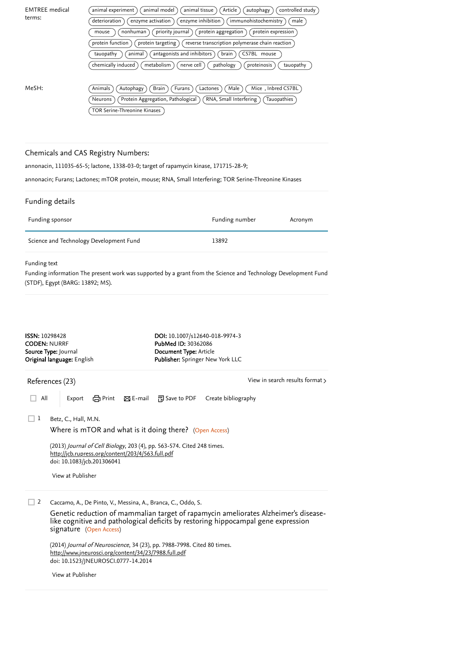<span id="page-1-0"></span>

| <b>EMTREE</b> medical                                                                                                 | animal experiment                                                                                                                                                      | animal model                                                                                                                                                 | animal tissue                                                                      | Article<br>autophagy                                                                                                                                                     | controlled study                |  |  |  |  |
|-----------------------------------------------------------------------------------------------------------------------|------------------------------------------------------------------------------------------------------------------------------------------------------------------------|--------------------------------------------------------------------------------------------------------------------------------------------------------------|------------------------------------------------------------------------------------|--------------------------------------------------------------------------------------------------------------------------------------------------------------------------|---------------------------------|--|--|--|--|
| terms:                                                                                                                | deterioration                                                                                                                                                          | enzyme activation<br>enzyme inhibition<br>immunohistochemistry<br>male<br>nonhuman<br>priority journal<br>protein aggregation<br>protein expression<br>mouse |                                                                                    |                                                                                                                                                                          |                                 |  |  |  |  |
|                                                                                                                       |                                                                                                                                                                        |                                                                                                                                                              |                                                                                    |                                                                                                                                                                          |                                 |  |  |  |  |
|                                                                                                                       | protein function                                                                                                                                                       | protein targeting                                                                                                                                            |                                                                                    | reverse transcription polymerase chain reaction                                                                                                                          |                                 |  |  |  |  |
|                                                                                                                       | tauopathy                                                                                                                                                              | animal                                                                                                                                                       | antagonists and inhibitors                                                         | C57BL mouse<br>brain                                                                                                                                                     |                                 |  |  |  |  |
|                                                                                                                       | chemically induced                                                                                                                                                     | metabolism                                                                                                                                                   | nerve cell                                                                         | pathology<br>proteinosis                                                                                                                                                 | tauopathy                       |  |  |  |  |
|                                                                                                                       |                                                                                                                                                                        |                                                                                                                                                              |                                                                                    |                                                                                                                                                                          |                                 |  |  |  |  |
| MeSH:                                                                                                                 | Animals                                                                                                                                                                | Brain<br>Autophagy                                                                                                                                           | Furans<br>Lactones                                                                 | Male <sup>1</sup>                                                                                                                                                        | Mice, Inbred C57BL              |  |  |  |  |
|                                                                                                                       | Neurons                                                                                                                                                                | Protein Aggregation, Pathological                                                                                                                            |                                                                                    | RNA, Small Interfering                                                                                                                                                   | Tauopathies                     |  |  |  |  |
|                                                                                                                       |                                                                                                                                                                        | TOR Serine-Threonine Kinases                                                                                                                                 |                                                                                    |                                                                                                                                                                          |                                 |  |  |  |  |
|                                                                                                                       |                                                                                                                                                                        |                                                                                                                                                              |                                                                                    |                                                                                                                                                                          |                                 |  |  |  |  |
|                                                                                                                       | Chemicals and CAS Registry Numbers:                                                                                                                                    |                                                                                                                                                              |                                                                                    |                                                                                                                                                                          |                                 |  |  |  |  |
|                                                                                                                       | annonacin, 111035-65-5; lactone, 1338-03-0; target of rapamycin kinase, 171715-28-9;                                                                                   |                                                                                                                                                              |                                                                                    |                                                                                                                                                                          |                                 |  |  |  |  |
|                                                                                                                       |                                                                                                                                                                        |                                                                                                                                                              |                                                                                    |                                                                                                                                                                          |                                 |  |  |  |  |
|                                                                                                                       |                                                                                                                                                                        |                                                                                                                                                              |                                                                                    | annonacin; Furans; Lactones; mTOR protein, mouse; RNA, Small Interfering; TOR Serine-Threonine Kinases                                                                   |                                 |  |  |  |  |
| Funding details                                                                                                       |                                                                                                                                                                        |                                                                                                                                                              |                                                                                    |                                                                                                                                                                          |                                 |  |  |  |  |
| Funding sponsor                                                                                                       |                                                                                                                                                                        |                                                                                                                                                              |                                                                                    | Funding number                                                                                                                                                           | Acronym                         |  |  |  |  |
|                                                                                                                       | Science and Technology Development Fund                                                                                                                                |                                                                                                                                                              |                                                                                    | 13892                                                                                                                                                                    |                                 |  |  |  |  |
|                                                                                                                       |                                                                                                                                                                        |                                                                                                                                                              |                                                                                    |                                                                                                                                                                          |                                 |  |  |  |  |
|                                                                                                                       |                                                                                                                                                                        |                                                                                                                                                              | DOI: 10.1007/s12640-018-9974-3<br>PubMed ID: 30362086<br>Document Type: Article    |                                                                                                                                                                          |                                 |  |  |  |  |
|                                                                                                                       |                                                                                                                                                                        |                                                                                                                                                              | Publisher: Springer New York LLC                                                   |                                                                                                                                                                          |                                 |  |  |  |  |
|                                                                                                                       |                                                                                                                                                                        |                                                                                                                                                              |                                                                                    |                                                                                                                                                                          | View in search results format > |  |  |  |  |
| All                                                                                                                   | Export                                                                                                                                                                 |                                                                                                                                                              | <b><a></a></b> Print <b>×</b> E-mail <sup>79</sup> Save to PDF Create bibliography |                                                                                                                                                                          |                                 |  |  |  |  |
| 1                                                                                                                     | Betz, C., Hall, M.N.                                                                                                                                                   |                                                                                                                                                              |                                                                                    |                                                                                                                                                                          |                                 |  |  |  |  |
|                                                                                                                       | Where is mTOR and what is it doing there? (Open Access)                                                                                                                |                                                                                                                                                              |                                                                                    |                                                                                                                                                                          |                                 |  |  |  |  |
|                                                                                                                       |                                                                                                                                                                        |                                                                                                                                                              |                                                                                    |                                                                                                                                                                          |                                 |  |  |  |  |
|                                                                                                                       | (2013) Journal of Cell Biology, 203 (4), pp. 563-574. Cited 248 times.<br>http://jcb.rupress.org/content/203/4/563.full.pdf<br>doi: 10.1083/jcb.201306041              |                                                                                                                                                              |                                                                                    |                                                                                                                                                                          |                                 |  |  |  |  |
|                                                                                                                       | View at Publisher                                                                                                                                                      |                                                                                                                                                              |                                                                                    |                                                                                                                                                                          |                                 |  |  |  |  |
| 2                                                                                                                     | Caccamo, A., De Pinto, V., Messina, A., Branca, C., Oddo, S.                                                                                                           |                                                                                                                                                              |                                                                                    |                                                                                                                                                                          |                                 |  |  |  |  |
|                                                                                                                       |                                                                                                                                                                        |                                                                                                                                                              |                                                                                    |                                                                                                                                                                          |                                 |  |  |  |  |
| <b>ISSN: 10298428</b><br><b>CODEN: NURRF</b><br>Source Type: Journal<br>Original language: English<br>References (23) | signature (Open Access)                                                                                                                                                |                                                                                                                                                              |                                                                                    | Genetic reduction of mammalian target of rapamycin ameliorates Alzheimer's disease-<br>like cognitive and pathological deficits by restoring hippocampal gene expression |                                 |  |  |  |  |
|                                                                                                                       | (2014) Journal of Neuroscience, 34 (23), pp. 7988-7998. Cited 80 times.<br>http://www.jneurosci.org/content/34/23/7988.full.pdf<br>doi: 10.1523/JNEUROSCI.0777-14.2014 |                                                                                                                                                              |                                                                                    |                                                                                                                                                                          |                                 |  |  |  |  |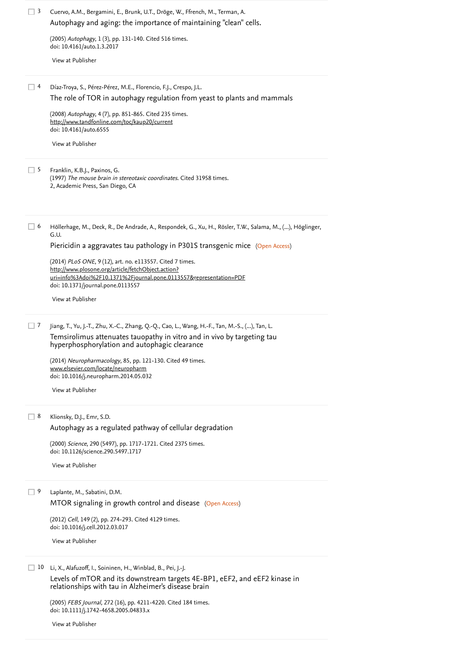| 3        | Cuervo, A.M., Bergamini, E., Brunk, U.T., Dröge, W., Ffrench, M., Terman, A.<br>Autophagy and aging: the importance of maintaining "clean" cells.                                                                          |  |  |  |  |  |
|----------|----------------------------------------------------------------------------------------------------------------------------------------------------------------------------------------------------------------------------|--|--|--|--|--|
|          | (2005) Autophagy, 1 (3), pp. 131-140. Cited 516 times.<br>doi: 10.4161/auto.1.3.2017                                                                                                                                       |  |  |  |  |  |
|          | View at Publisher                                                                                                                                                                                                          |  |  |  |  |  |
| $\Box$ 4 | Díaz-Troya, S., Pérez-Pérez, M.E., Florencio, F.J., Crespo, J.L.<br>The role of TOR in autophagy regulation from yeast to plants and mammals                                                                               |  |  |  |  |  |
|          | (2008) Autophagy, 4 (7), pp. 851-865. Cited 235 times.<br>http://www.tandfonline.com/toc/kaup20/current<br>doi: 10.4161/auto.6555                                                                                          |  |  |  |  |  |
|          | View at Publisher                                                                                                                                                                                                          |  |  |  |  |  |
| $\Box$ 5 | Franklin, K.B.J., Paxinos, G.<br>(1997) The mouse brain in stereotaxic coordinates. Cited 31958 times.<br>2, Academic Press, San Diego, CA                                                                                 |  |  |  |  |  |
| $\Box$ 6 | Höllerhage, M., Deck, R., De Andrade, A., Respondek, G., Xu, H., Rösler, T.W., Salama, M., (), Höglinger,<br>G.U.                                                                                                          |  |  |  |  |  |
|          | Piericidin a aggravates tau pathology in P301S transgenic mice (Open Access)                                                                                                                                               |  |  |  |  |  |
|          | (2014) PLoS ONE, 9 (12), art. no. e113557. Cited 7 times.<br>http://www.plosone.org/article/fetchObject.action?<br>uri=info%3Adoi%2F10.1371%2Fjournal.pone.0113557&representation=PDF<br>doi: 10.1371/journal.pone.0113557 |  |  |  |  |  |
|          | View at Publisher                                                                                                                                                                                                          |  |  |  |  |  |
| $\Box$ 7 | Jiang, T., Yu, J.-T., Zhu, X.-C., Zhang, Q.-Q., Cao, L., Wang, H.-F., Tan, M.-S., (), Tan, L.<br>Temsirolimus attenuates tauopathy in vitro and in vivo by targeting tau<br>hyperphosphorylation and autophagic clearance  |  |  |  |  |  |
|          | (2014) Neuropharmacology, 85, pp. 121-130. Cited 49 times.<br>www.elsevier.com/locate/neuropharm<br>doi: 10.1016/j.neuropharm.2014.05.032                                                                                  |  |  |  |  |  |
|          | View at Publisher                                                                                                                                                                                                          |  |  |  |  |  |
| $\Box$ 8 | Klionsky, D.J., Emr, S.D.                                                                                                                                                                                                  |  |  |  |  |  |
|          | Autophagy as a regulated pathway of cellular degradation                                                                                                                                                                   |  |  |  |  |  |
|          | (2000) Science, 290 (5497), pp. 1717-1721. Cited 2375 times.<br>doi: 10.1126/science.290.5497.1717                                                                                                                         |  |  |  |  |  |
|          | View at Publisher                                                                                                                                                                                                          |  |  |  |  |  |
| $\Box$ 9 | Laplante, M., Sabatini, D.M.                                                                                                                                                                                               |  |  |  |  |  |
|          | MTOR signaling in growth control and disease (Open Access)<br>(2012) Cell, 149 (2), pp. 274-293. Cited 4129 times.<br>doi: 10.1016/j.cell.2012.03.017                                                                      |  |  |  |  |  |
|          | View at Publisher                                                                                                                                                                                                          |  |  |  |  |  |
| 10       | Li, X., Alafuzoff, I., Soininen, H., Winblad, B., Pei, J.-J.                                                                                                                                                               |  |  |  |  |  |
|          | Levels of mTOR and its downstream targets 4E-BP1, eEF2, and eEF2 kinase in<br>relationships with tau in Alzheimer's disease brain                                                                                          |  |  |  |  |  |
|          | (2005) FEBS Journal, 272 (16), pp. 4211-4220. Cited 184 times.<br>doi: 10.1111/j.1742-4658.2005.04833.x                                                                                                                    |  |  |  |  |  |

[View at Publisher](https://www.scopus.com/redirect/linking.uri?targetURL=https%3a%2f%2fdoi.org%2f10.1111%2fj.1742-4658.2005.04833.x&locationID=3&categoryID=4&eid=2-s2.0-23844457609&issn=1742464X&linkType=ViewAtPublisher&year=2005&origin=reflist&dig=421f571d8dd54e2256ba30ae3e53eafe&recordRank=)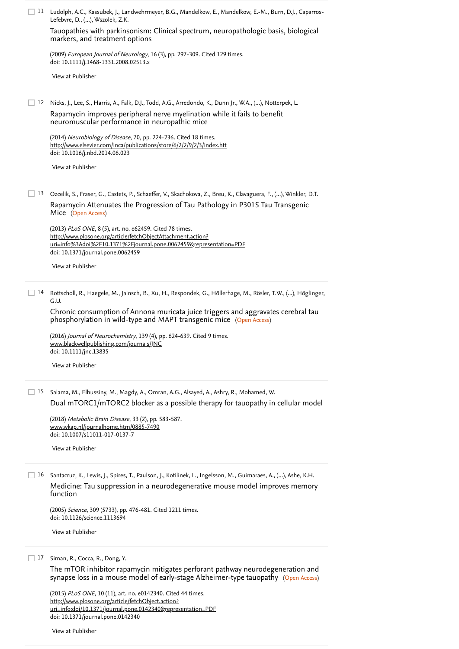|    | 11 Ludolph, A.C., Kassubek, J., Landwehrmeyer, B.G., Mandelkow, E., Mandelkow, E.-M., Burn, D.J., Caparros-<br>Lefebvre, D., (), Wszolek, Z.K.                              |
|----|-----------------------------------------------------------------------------------------------------------------------------------------------------------------------------|
|    | Tauopathies with parkinsonism: Clinical spectrum, neuropathologic basis, biological<br>markers, and treatment options                                                       |
|    | (2009) European Journal of Neurology, 16 (3), pp. 297-309. Cited 129 times.<br>doi: 10.1111/j.1468-1331.2008.02513.x                                                        |
|    | View at Publisher                                                                                                                                                           |
|    | 12 Nicks, J., Lee, S., Harris, A., Falk, D.J., Todd, A.G., Arredondo, K., Dunn Jr., W.A., (), Notterpek, L.                                                                 |
|    | Rapamycin improves peripheral nerve myelination while it fails to benefit<br>neuromuscular performance in neuropathic mice                                                  |
|    | (2014) Neurobiology of Disease, 70, pp. 224-236. Cited 18 times.<br>http://www.elsevier.com/inca/publications/store/6/2/2/9/2/3/index.htt<br>doi: 10.1016/j.nbd.2014.06.023 |
|    | View at Publisher                                                                                                                                                           |
|    | 13 Ozcelik, S., Fraser, G., Castets, P., Schaeffer, V., Skachokova, Z., Breu, K., Clavaguera, F., (), Winkler, D.T.                                                         |
|    | Rapamycin Attenuates the Progression of Tau Pathology in P301S Tau Transgenic<br>Mice (Open Access)                                                                         |
|    | (2013) PLoS ONE, 8 (5), art. no. e62459. Cited 78 times.<br>http://www.plosone.org/article/fetchObjectAttachment.action?                                                    |
|    | uri=info%3Adoi%2F10.1371%2Fjournal.pone.0062459&representation=PDF<br>doi: 10.1371/journal.pone.0062459                                                                     |
|    | View at Publisher                                                                                                                                                           |
| 14 | Rottscholl, R., Haegele, M., Jainsch, B., Xu, H., Respondek, G., Höllerhage, M., Rösler, T.W., (), Höglinger,<br>G.U.                                                       |
|    | Chronic consumption of Annona muricata juice triggers and aggravates cerebral tau<br>phosphorylation in wild-type and MAPT transgenic mice (Open Access)                    |
|    | (2016) Journal of Neurochemistry, 139 (4), pp. 624-639. Cited 9 times.                                                                                                      |
|    | www.blackwellpublishing.com/journals/JNC<br>doi: 10.1111/jnc.13835                                                                                                          |
|    | View at Publisher                                                                                                                                                           |
| 15 | Salama, M., Elhussiny, M., Magdy, A., Omran, A.G., Alsayed, A., Ashry, R., Mohamed, W.                                                                                      |
|    | Dual mTORC1/mTORC2 blocker as a possible therapy for tauopathy in cellular model                                                                                            |
|    | (2018) Metabolic Brain Disease, 33 (2), pp. 583-587.<br>www.wkap.nl/journalhome.htm/0885-7490<br>doi: 10.1007/s11011-017-0137-7                                             |
|    | View at Publisher                                                                                                                                                           |
|    |                                                                                                                                                                             |
| 16 | Santacruz, K., Lewis, J., Spires, T., Paulson, J., Kotilinek, L., Ingelsson, M., Guimaraes, A., (), Ashe, K.H.                                                              |
|    | Medicine: Tau suppression in a neurodegenerative mouse model improves memory<br>function                                                                                    |
|    | (2005) Science, 309 (5733), pp. 476-481. Cited 1211 times.<br>doi: 10.1126/science.1113694                                                                                  |
|    | View at Publisher                                                                                                                                                           |

17 Siman, R., Cocca, R., Dong, Y.

(Open Access) [The mTOR inhibitor rapamycin mitigates perforant pathway neurodegeneration and](https://www.scopus.com/record/display.uri?eid=2-s2.0-84951320233&origin=reflist&sort=plf-f&src=s&st1=siRNA+Blocking+of+Mammalian+Target+of+Rapamycin+Attenuates+Pathology+in+Annonacin-Induced+Tauopathy+in+Mice&st2=&sid=57f36afa246202f9e03aa07be53cffcd&sot=b&sdt=b&sl=122&s=TITLE-ABS-KEY%28siRNA+Blocking+of+Mammalian+Target+of+Rapamycin+Attenuates+Pathology+in+Annonacin-Induced+Tauopathy+in+Mice%29&recordRank=) synapse loss in a mouse model of early-stage Alzheimer-type tauopathy

(2015) *PLoS ONE*, 10 (11), art. no. e0142340. [Cited 44 times](https://www.scopus.com/search/submit/citedby.uri?eid=2-s2.0-85055723662&refeid=2-s2.0-84951320233&src=s&origin=reflist&refstat=core). doi: 10.1371/journal.pone.0142340 http://www.plosone.org/article/fetchObject.action? [uri=info:doi/10.1371/journal.pone.0142340&representation=PDF](http://www.plosone.org/article/fetchObject.action?uri=info:doi/10.1371/journal.pone.0142340&representation=PDF)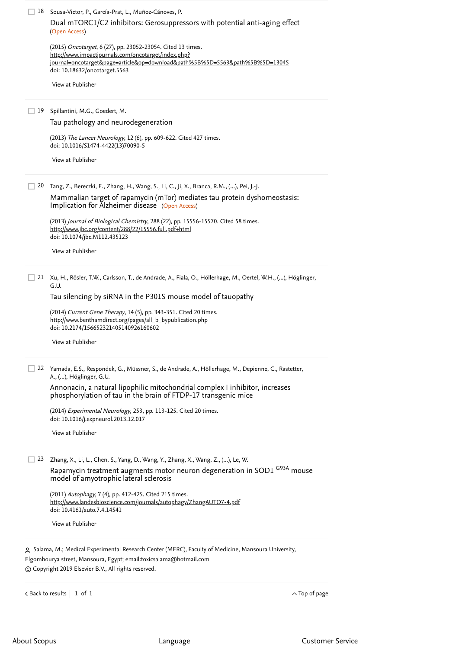|  |  |  |  |  | 18 Sousa-Victor, P., García-Prat, L., Muñoz-Cánoves, P. |  |
|--|--|--|--|--|---------------------------------------------------------|--|
|--|--|--|--|--|---------------------------------------------------------|--|

(Open Access) [Dual mTORC1/C2 inhibitors: Gerosuppressors with potential anti-aging effect](https://www.scopus.com/record/display.uri?eid=2-s2.0-84943388545&origin=reflist&sort=plf-f&src=s&st1=siRNA+Blocking+of+Mammalian+Target+of+Rapamycin+Attenuates+Pathology+in+Annonacin-Induced+Tauopathy+in+Mice&st2=&sid=57f36afa246202f9e03aa07be53cffcd&sot=b&sdt=b&sl=122&s=TITLE-ABS-KEY%28siRNA+Blocking+of+Mammalian+Target+of+Rapamycin+Attenuates+Pathology+in+Annonacin-Induced+Tauopathy+in+Mice%29&recordRank=)

(2015) Oncotarget, 6 (27), pp. 23052-23054. [Cited 13 times](https://www.scopus.com/search/submit/citedby.uri?eid=2-s2.0-85055723662&refeid=2-s2.0-84943388545&src=s&origin=reflist&refstat=core). doi: 10.18632/oncotarget.5563 http://www.impactjournals.com/oncotarget/index.php? [journal=oncotarget&page=article&op=download&path%5B%5D=5563&path%5B%5D=13045](http://www.impactjournals.com/oncotarget/index.php?journal=oncotarget&page=article&op=download&path%5B%5D=5563&path%5B%5D=13045)

[View at Publisher](https://www.scopus.com/redirect/linking.uri?targetURL=https%3a%2f%2fdoi.org%2f10.18632%2foncotarget.5563&locationID=3&categoryID=4&eid=2-s2.0-84943388545&issn=19492553&linkType=ViewAtPublisher&year=2015&origin=reflist&dig=906617dd55c7ad9c9abf529fb2825a3d&recordRank=)

19 Spillantini, M.G., Goedert, M.

[Tau pathology and neurodegeneration](https://www.scopus.com/record/display.uri?eid=2-s2.0-84877906835&origin=reflist&sort=plf-f&src=s&st1=siRNA+Blocking+of+Mammalian+Target+of+Rapamycin+Attenuates+Pathology+in+Annonacin-Induced+Tauopathy+in+Mice&st2=&sid=57f36afa246202f9e03aa07be53cffcd&sot=b&sdt=b&sl=122&s=TITLE-ABS-KEY%28siRNA+Blocking+of+Mammalian+Target+of+Rapamycin+Attenuates+Pathology+in+Annonacin-Induced+Tauopathy+in+Mice%29&recordRank=)

(2013) *The Lancet Neurology*, 12 (6), pp. 609-622. [Cited 427 times](https://www.scopus.com/search/submit/citedby.uri?eid=2-s2.0-85055723662&refeid=2-s2.0-84877906835&src=s&origin=reflist&refstat=core). doi: 10.1016/S1474-4422(13)70090-5

[View at Publisher](https://www.scopus.com/redirect/linking.uri?targetURL=https%3a%2f%2fdoi.org%2f10.1016%2fS1474-4422%2813%2970090-5&locationID=3&categoryID=4&eid=2-s2.0-84877906835&issn=14744422&linkType=ViewAtPublisher&year=2013&origin=reflist&dig=01caf9d0716faf8083c347ccf8b35b2c&recordRank=)

Tang, Z., Bereczki, E., Zhang, H., Wang, S., Li, C., Ji, X., Branca, R.M., (...), Pei, J.-J. 20

Implication for Alzheimer disease (Open Access) [Mammalian target of rapamycin \(mTor\) mediates tau protein dyshomeostasis:](https://www.scopus.com/record/display.uri?eid=2-s2.0-84878422744&origin=reflist&sort=plf-f&src=s&st1=siRNA+Blocking+of+Mammalian+Target+of+Rapamycin+Attenuates+Pathology+in+Annonacin-Induced+Tauopathy+in+Mice&st2=&sid=57f36afa246202f9e03aa07be53cffcd&sot=b&sdt=b&sl=122&s=TITLE-ABS-KEY%28siRNA+Blocking+of+Mammalian+Target+of+Rapamycin+Attenuates+Pathology+in+Annonacin-Induced+Tauopathy+in+Mice%29&recordRank=)

(2013) *Journal of Biological Chemistry*, 288 (22), pp. 15556-15570. [Cited 58 times](https://www.scopus.com/search/submit/citedby.uri?eid=2-s2.0-85055723662&refeid=2-s2.0-84878422744&src=s&origin=reflist&refstat=core). doi: 10.1074/jbc.M112.435123 <http://www.jbc.org/content/288/22/15556.full.pdf+html>

[View at Publisher](https://www.scopus.com/redirect/linking.uri?targetURL=https%3a%2f%2fdoi.org%2f10.1074%2fjbc.M112.435123&locationID=3&categoryID=4&eid=2-s2.0-84878422744&issn=00219258&linkType=ViewAtPublisher&year=2013&origin=reflist&dig=e848099fef971bf029ca769d268a9b98&recordRank=)

21 Xu, H., Rösler, T.W., Carlsson, T., de Andrade, A., Fiala, O., Höllerhage, M., Oertel, W.H., (…), Höglinger, G.U.

[Tau silencing by siRNA in the P301S mouse model of tauopathy](https://www.scopus.com/record/display.uri?eid=2-s2.0-84911493266&origin=reflist&sort=plf-f&src=s&st1=siRNA+Blocking+of+Mammalian+Target+of+Rapamycin+Attenuates+Pathology+in+Annonacin-Induced+Tauopathy+in+Mice&st2=&sid=57f36afa246202f9e03aa07be53cffcd&sot=b&sdt=b&sl=122&s=TITLE-ABS-KEY%28siRNA+Blocking+of+Mammalian+Target+of+Rapamycin+Attenuates+Pathology+in+Annonacin-Induced+Tauopathy+in+Mice%29&recordRank=)

(2014) *Current Gene Therapy*, 14 (5), pp. 343-351. [Cited 20 times](https://www.scopus.com/search/submit/citedby.uri?eid=2-s2.0-85055723662&refeid=2-s2.0-84911493266&src=s&origin=reflist&refstat=core). doi: 10.2174/156652321405140926160602 [http://www.benthamdirect.org/pages/all\\_b\\_bypublication.php](http://www.benthamdirect.org/pages/all_b_bypublication.php)

[View at Publisher](https://www.scopus.com/redirect/linking.uri?targetURL=https%3a%2f%2fdoi.org%2f10.2174%2f156652321405140926160602&locationID=3&categoryID=4&eid=2-s2.0-84911493266&issn=18755631&linkType=ViewAtPublisher&year=2014&origin=reflist&dig=0817cb9a8072cc3dd779e280a693f7a0&recordRank=)

22 Yamada, E.S., Respondek, G., Müssner, S., de Andrade, A., Höllerhage, M., Depienne, C., Rastetter, A., (...), Höglinger, G.U.

[Annonacin, a natural lipophilic mitochondrial complex I inhibitor, increases](https://www.scopus.com/record/display.uri?eid=2-s2.0-84892467123&origin=reflist&sort=plf-f&src=s&st1=siRNA+Blocking+of+Mammalian+Target+of+Rapamycin+Attenuates+Pathology+in+Annonacin-Induced+Tauopathy+in+Mice&st2=&sid=57f36afa246202f9e03aa07be53cffcd&sot=b&sdt=b&sl=122&s=TITLE-ABS-KEY%28siRNA+Blocking+of+Mammalian+Target+of+Rapamycin+Attenuates+Pathology+in+Annonacin-Induced+Tauopathy+in+Mice%29&recordRank=) phosphorylation of tau in the brain of FTDP-17 transgenic mice

(2014) Experimental Neurology, 253, pp. 113-125. [Cited 20 times](https://www.scopus.com/search/submit/citedby.uri?eid=2-s2.0-85055723662&refeid=2-s2.0-84892467123&src=s&origin=reflist&refstat=core). doi: 10.1016/j.expneurol.2013.12.017

[View at Publisher](https://www.scopus.com/redirect/linking.uri?targetURL=https%3a%2f%2fdoi.org%2f10.1016%2fj.expneurol.2013.12.017&locationID=3&categoryID=4&eid=2-s2.0-84892467123&issn=00144886&linkType=ViewAtPublisher&year=2014&origin=reflist&dig=4204d10faedd6c676f890f4fcc263db7&recordRank=)

23 Zhang, X., Li, L., Chen, S., Yang, D., Wang, Y., Zhang, X., Wang, Z., (...), Le, W.

Rapamycin treatment augments motor neuron degeneration in SOD1 <sup>G93A</sup> mouse model of amyotrophic lateral sclerosis

(2011) Autophagy, 7 (4), pp. 412-425. [Cited 215 times](https://www.scopus.com/search/submit/citedby.uri?eid=2-s2.0-85055723662&refeid=2-s2.0-79953647105&src=s&origin=reflist&refstat=core). doi: 10.4161/auto.7.4.14541 <http://www.landesbioscience.com/journals/autophagy/ZhangAUTO7-4.pdf>

[View at Publisher](https://www.scopus.com/redirect/linking.uri?targetURL=https%3a%2f%2fdoi.org%2f10.4161%2fauto.7.4.14541&locationID=3&categoryID=4&eid=2-s2.0-79953647105&issn=15548635&linkType=ViewAtPublisher&year=2011&origin=reflist&dig=cf3a824a31bf7e28e418cfc807d65efd&recordRank=)

<span id="page-4-0"></span> Salama, M.; Medical Experimental Research Center (MERC), Faculty of Medicine, Mansoura University, Elgomhourya street, Mansoura, Egypt; email: [toxicsalama@hotmail.com](mailto:toxicsalama@hotmail.com) © Copyright 2019 Elsevier B.V., All rights reserved.

1 of 1 ◅ [Back to results](https://www.scopus.com/results/results.uri?sort=plf-f&src=s&st1=siRNA+Blocking+of+Mammalian+Target+of+Rapamycin+Attenuates+Pathology+in+Annonacin-Induced+Tauopathy+in+Mice&st2=&sid=57f36afa246202f9e03aa07be53cffcd&sot=b&sdt=b&sl=122&s=TITLE-ABS-KEY%28siRNA+Blocking+of+Mammalian+Target+of+Rapamycin+Attenuates+Pathology+in+Annonacin-Induced+Tauopathy+in+Mice%29&offset=1&origin=recordpage) [Top of page](#page-0-1)